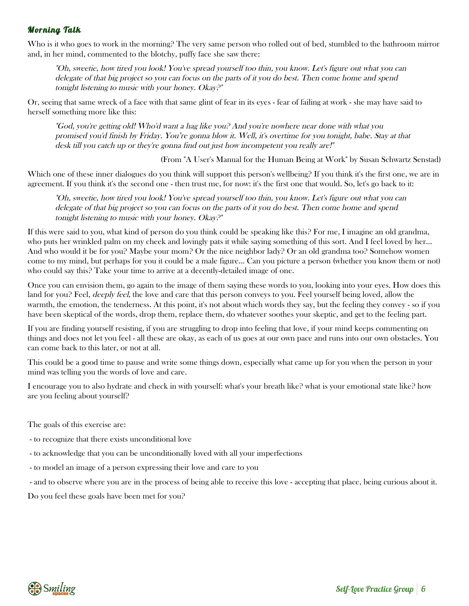#### Morning Talk

Who is it who goes to work in the morning? The very same person who rolled out of bed, stumbled to the bathroom mirror and, in her mind, commented to the blotchy, puffy face she saw there:

"Oh, sweetie, how tired you look! You've spread yourself too thin, you know. Let's figure out what you can delegate of that big project so you can focus on the parts of it you do best. Then come home and spend tonight listening to music with your honey. Okay?"

Or, seeing that same wreck of a face with that same glint of fear in its eyes - fear of failing at work - she may have said to herself something more like this:

"God, you're getting old! Who'd want a hag like you? And you're nowhere near done with what you promised you'd finish by Friday. You're gonna blow it. Well, it's overtime for you tonight, babe. Stay at that desk till you catch up or they're gonna find out just how incompetent you really are!"

(From "A User's Manual for the Human Being at Work" by Susan Schwartz Senstad)

Which one of these inner dialogues do you think will support this person's wellbeing? If you think it's the first one, we are in agreement. If you think it's the second one - then trust me, for now: it's the first one that would. So, let's go back to it:

"Oh, sweetie, how tired you look! You've spread yourself too thin, you know. Let's figure out what you can delegate of that big project so you can focus on the parts of it you do best. Then come home and spend tonight listening to music with your honey. Okay?"

If this were said to you, what kind of person do you think could be speaking like this? For me, I imagine an old grandma, who puts her wrinkled palm on my cheek and lovingly pats it while saying something of this sort. And I feel loved by her... And who would it be for you? Maybe your mom? Or the nice neighbor lady? Or an old grandma too? Somehow women come to my mind, but perhaps for you it could be a male figure... Can you picture a person (whether you know them or not) who could say this? Take your time to arrive at a decently-detailed image of one.

Once you can envision them, go again to the image of them saying these words to you, looking into your eyes. How does this land for you? Feel, *deeply feel*, the love and care that this person conveys to you. Feel yourself being loved, allow the warmth, the emotion, the tenderness. At this point, it's not about which words they say, but the feeling they convey - so if you have been skeptical of the words, drop them, replace them, do whatever soothes your skeptic, and get to the feeling part.

If you are finding yourself resisting, if you are struggling to drop into feeling that love, if your mind keeps commenting on things and does not let you feel - all these are okay, as each of us goes at our own pace and runs into our own obstacles. You can come back to this later, or not at all.

This could be a good time to pause and write some things down, especially what came up for you when the person in your mind was telling you the words of love and care.

I encourage you to also hydrate and check in with yourself: what's your breath like? what is your emotional state like? how are you feeling about yourself?

The goals of this exercise are:

- to recognize that there exists unconditional love
- to acknowledge that you can be unconditionally loved with all your imperfections
- to model an image of a person expressing their love and care to you
- and to observe where you are in the process of being able to receive this love accepting that place, being curious about it.

Do you feel these goals have been met for you?

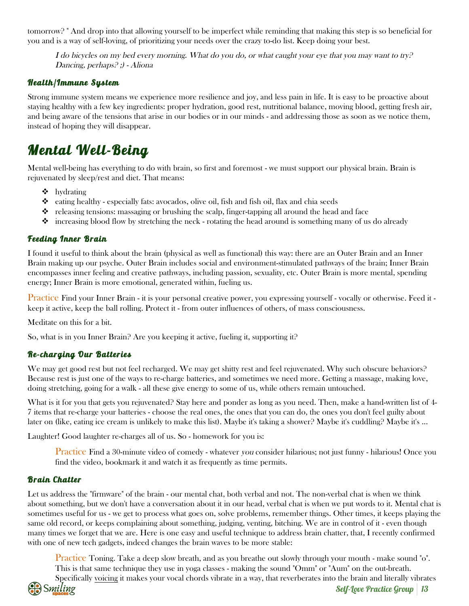tomorrow? " And drop into that allowing yourself to be imperfect while reminding that making this step is so beneficial for you and is a way of self-loving, of prioritizing your needs over the crazy to-do list. Keep doing your best.

I do bicycles on my bed every morning. What do you do, or what caught your eye that you may want to try? Dancing, perhaps? ;) - Aliona

#### Health/Immune System

Strong immune system means we experience more resilience and joy, and less pain in life. It is easy to be proactive about staying healthy with a few key ingredients: proper hydration, good rest, nutritional balance, moving blood, getting fresh air, and being aware of the tensions that arise in our bodies or in our minds - and addressing those as soon as we notice them, instead of hoping they will disappear.

## Mental Well-Being

Mental well-being has everything to do with brain, so first and foremost - we must support our physical brain. Brain is rejuvenated by sleep/rest and diet. That means:

- $\triangleleft$  hydrating
- $\bullet$  eating healthy especially fats: avocados, olive oil, fish and fish oil, flax and chia seeds
- $\bullet$  releasing tensions: massaging or brushing the scalp, finger-tapping all around the head and face
- $\bullet$  increasing blood flow by stretching the neck rotating the head around is something many of us do already

#### Feeding Inner Brain

I found it useful to think about the brain (physical as well as functional) this way: there are an Outer Brain and an Inner Brain making up our psyche. Outer Brain includes social and environment-stimulated pathways of the brain; Inner Brain encompasses inner feeling and creative pathways, including passion, sexuality, etc. Outer Brain is more mental, spending energy; Inner Brain is more emotional, generated within, fueling us.

Practice Find your Inner Brain - it is your personal creative power, you expressing yourself - vocally or otherwise. Feed it keep it active, keep the ball rolling. Protect it - from outer influences of others, of mass consciousness.

Meditate on this for a bit.

So, what is in you Inner Brain? Are you keeping it active, fueling it, supporting it?

#### Re-charging Our Batteries

We may get good rest but not feel recharged. We may get shitty rest and feel rejuvenated. Why such obscure behaviors? Because rest is just one of the ways to re-charge batteries, and sometimes we need more. Getting a massage, making love, doing stretching, going for a walk - all these give energy to some of us, while others remain untouched.

What is it for you that gets you rejuvenated? Stay here and ponder as long as you need. Then, make a hand-written list of 4- 7 items that re-charge your batteries - choose the real ones, the ones that you can do, the ones you don't feel guilty about later on (like, eating ice cream is unlikely to make this list). Maybe it's taking a shower? Maybe it's cuddling? Maybe it's ...

Laughter! Good laughter re-charges all of us. So - homework for you is:

Practice Find a 30-minute video of comedy - whatever you consider hilarious; not just funny - hilarious! Once you find the video, bookmark it and watch it as frequently as time permits.

#### Brain Chatter

Let us address the "firmware" of the brain - our mental chat, both verbal and not. The non-verbal chat is when we think about something, but we don't have a conversation about it in our head, verbal chat is when we put words to it. Mental chat is sometimes useful for us - we get to process what goes on, solve problems, remember things. Other times, it keeps playing the same old record, or keeps complaining about something, judging, venting, bitching. We are in control of it - even though many times we forget that we are. Here is one easy and useful technique to address brain chatter, that, I recently confirmed with one of new tech gadgets, indeed changes the brain waves to be more stable:

Practice Toning. Take a deep slow breath, and as you breathe out slowly through your mouth - make sound "o". This is that same technique they use in yoga classes - making the sound "Omm" or "Aum" on the out-breath. Specifically voicing it makes your vocal chords vibrate in a way, that reverberates into the brain and literally vibrates

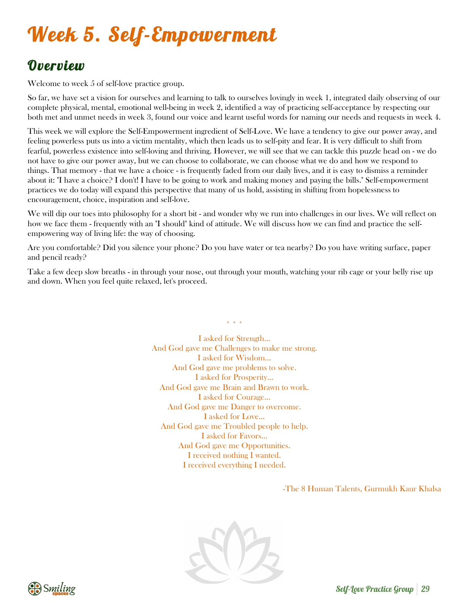# Week 5. Self-Empowerment

## **Overview**

Welcome to week 5 of self-love practice group.

So far, we have set a vision for ourselves and learning to talk to ourselves lovingly in week 1, integrated daily observing of our complete physical, mental, emotional well-being in week 2, identified a way of practicing self-acceptance by respecting our both met and unmet needs in week 3, found our voice and learnt useful words for naming our needs and requests in week 4.

This week we will explore the Self-Empowerment ingredient of Self-Love. We have a tendency to give our power away, and feeling powerless puts us into a victim mentality, which then leads us to self-pity and fear. It is very difficult to shift from fearful, powerless existence into self-loving and thriving. However, we will see that we can tackle this puzzle head on - we do not have to give our power away, but we can choose to collaborate, we can choose what we do and how we respond to things. That memory - that we have a choice - is frequently faded from our daily lives, and it is easy to dismiss a reminder about it: "I have a choice? I don't! I have to be going to work and making money and paying the bills." Self-empowerment practices we do today will expand this perspective that many of us hold, assisting in shifting from hopelessness to encouragement, choice, inspiration and self-love.

We will dip our toes into philosophy for a short bit - and wonder why we run into challenges in our lives. We will reflect on how we face them - frequently with an "I should" kind of attitude. We will discuss how we can find and practice the selfempowering way of living life: the way of choosing.

Are you comfortable? Did you silence your phone? Do you have water or tea nearby? Do you have writing surface, paper and pencil ready?

Take a few deep slow breaths - in through your nose, out through your mouth, watching your rib cage or your belly rise up and down. When you feel quite relaxed, let's proceed.

\* \* \*

I asked for Strength… And God gave me Challenges to make me strong. I asked for Wisdom… And God gave me problems to solve. I asked for Prosperity… And God gave me Brain and Brawn to work. I asked for Courage… And God gave me Danger to overcome. I asked for Love… And God gave me Troubled people to help. I asked for Favors… And God gave me Opportunities. I received nothing I wanted. I received everything I needed.

-The 8 Human Talents, Gurmukh Kaur Khalsa